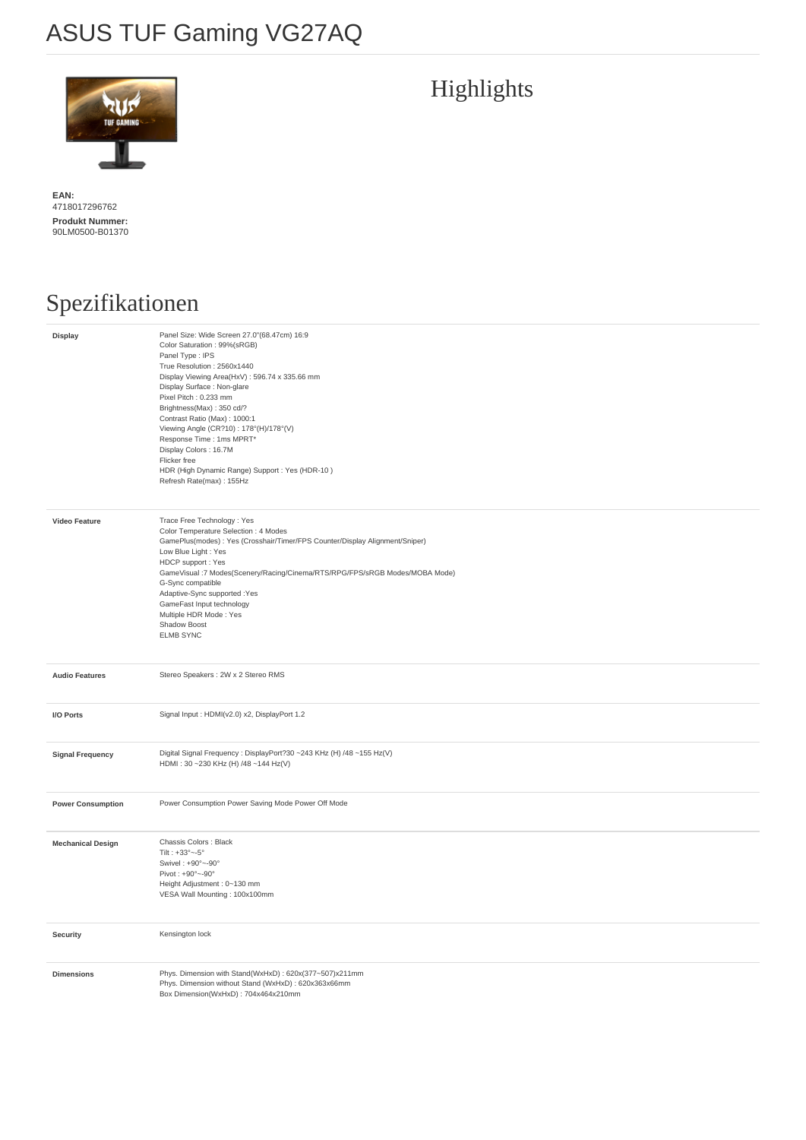## ASUS TUF Gaming VG27AQ



**EAN:**  4718017296762 **Produkt Nummer:**  90LM0500-B01370

## Spezifikationen

| Display                  | Panel Size: Wide Screen 27.0"(68.47cm) 16:9<br>Color Saturation: 99%(sRGB)<br>Panel Type : IPS<br>True Resolution: 2560x1440<br>Display Viewing Area(HxV): 596.74 x 335.66 mm<br>Display Surface : Non-glare<br>Pixel Pitch: 0.233 mm<br>Brightness(Max): 350 cd/?<br>Contrast Ratio (Max): 1000:1<br>Viewing Angle (CR?10): 178°(H)/178°(V)<br>Response Time : 1ms MPRT*<br>Display Colors: 16.7M<br>Flicker free<br>HDR (High Dynamic Range) Support : Yes (HDR-10)<br>Refresh Rate(max): 155Hz |
|--------------------------|---------------------------------------------------------------------------------------------------------------------------------------------------------------------------------------------------------------------------------------------------------------------------------------------------------------------------------------------------------------------------------------------------------------------------------------------------------------------------------------------------|
| <b>Video Feature</b>     | Trace Free Technology: Yes<br>Color Temperature Selection : 4 Modes<br>GamePlus(modes): Yes (Crosshair/Timer/FPS Counter/Display Alignment/Sniper)<br>Low Blue Light : Yes<br>HDCP support : Yes<br>GameVisual:7 Modes(Scenery/Racing/Cinema/RTS/RPG/FPS/sRGB Modes/MOBA Mode)<br>G-Sync compatible<br>Adaptive-Sync supported :Yes<br>GameFast Input technology<br>Multiple HDR Mode: Yes<br>Shadow Boost<br><b>ELMB SYNC</b>                                                                    |
| <b>Audio Features</b>    | Stereo Speakers : 2W x 2 Stereo RMS                                                                                                                                                                                                                                                                                                                                                                                                                                                               |
| I/O Ports                | Signal Input : HDMI(v2.0) x2, DisplayPort 1.2                                                                                                                                                                                                                                                                                                                                                                                                                                                     |
| <b>Signal Frequency</b>  | Digital Signal Frequency : DisplayPort?30 ~243 KHz (H) /48 ~155 Hz(V)<br>HDMI: 30~230 KHz (H) /48~144 Hz(V)                                                                                                                                                                                                                                                                                                                                                                                       |
| <b>Power Consumption</b> | Power Consumption Power Saving Mode Power Off Mode                                                                                                                                                                                                                                                                                                                                                                                                                                                |
| <b>Mechanical Design</b> | Chassis Colors : Black<br>Tilt: $+33^\circ -5^\circ$<br>Swivel: +90° ~- 90°<br>Pivot: +90°~-90°<br>Height Adjustment: 0~130 mm<br>VESA Wall Mounting: 100x100mm                                                                                                                                                                                                                                                                                                                                   |
| <b>Security</b>          | Kensington lock                                                                                                                                                                                                                                                                                                                                                                                                                                                                                   |
| <b>Dimensions</b>        | Phys. Dimension with Stand(WxHxD): 620x(377~507)x211mm<br>Phys. Dimension without Stand (WxHxD): 620x363x66mm<br>Box Dimension(WxHxD): 704x464x210mm                                                                                                                                                                                                                                                                                                                                              |

## Highlights